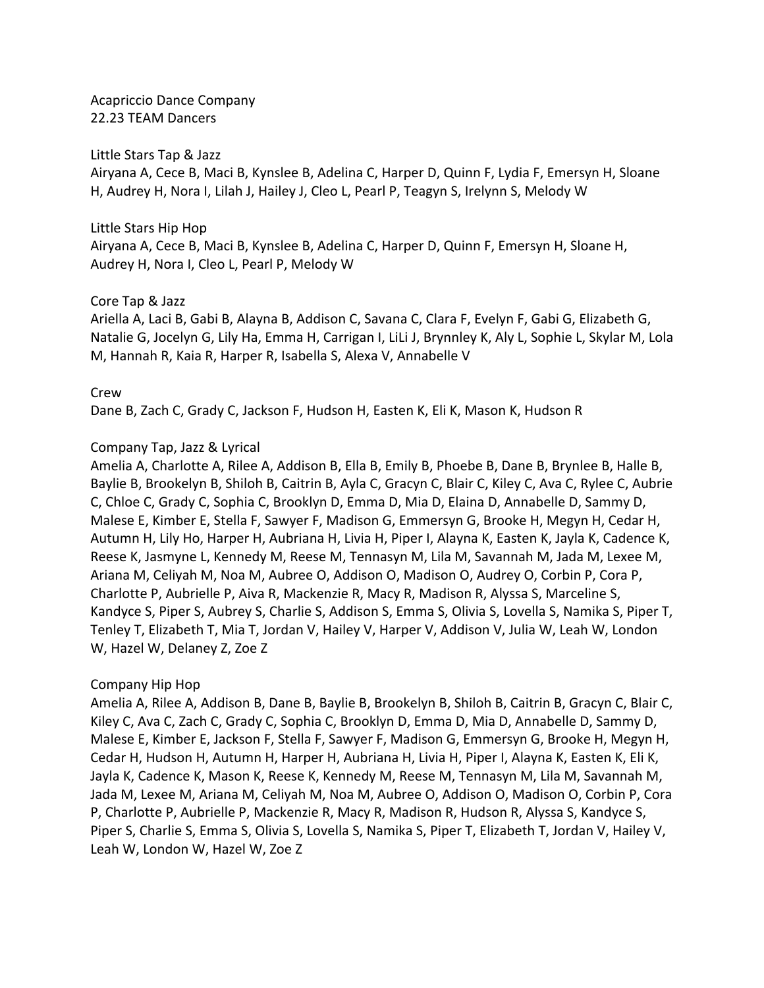Acapriccio Dance Company 22.23 TEAM Dancers

#### Little Stars Tap & Jazz

Airyana A, Cece B, Maci B, Kynslee B, Adelina C, Harper D, Quinn F, Lydia F, Emersyn H, Sloane H, Audrey H, Nora I, Lilah J, Hailey J, Cleo L, Pearl P, Teagyn S, Irelynn S, Melody W

#### Little Stars Hip Hop

Airyana A, Cece B, Maci B, Kynslee B, Adelina C, Harper D, Quinn F, Emersyn H, Sloane H, Audrey H, Nora I, Cleo L, Pearl P, Melody W

### Core Tap & Jazz

Ariella A, Laci B, Gabi B, Alayna B, Addison C, Savana C, Clara F, Evelyn F, Gabi G, Elizabeth G, Natalie G, Jocelyn G, Lily Ha, Emma H, Carrigan I, LiLi J, Brynnley K, Aly L, Sophie L, Skylar M, Lola M, Hannah R, Kaia R, Harper R, Isabella S, Alexa V, Annabelle V

#### Crew

Dane B, Zach C, Grady C, Jackson F, Hudson H, Easten K, Eli K, Mason K, Hudson R

### Company Tap, Jazz & Lyrical

Amelia A, Charlotte A, Rilee A, Addison B, Ella B, Emily B, Phoebe B, Dane B, Brynlee B, Halle B, Baylie B, Brookelyn B, Shiloh B, Caitrin B, Ayla C, Gracyn C, Blair C, Kiley C, Ava C, Rylee C, Aubrie C, Chloe C, Grady C, Sophia C, Brooklyn D, Emma D, Mia D, Elaina D, Annabelle D, Sammy D, Malese E, Kimber E, Stella F, Sawyer F, Madison G, Emmersyn G, Brooke H, Megyn H, Cedar H, Autumn H, Lily Ho, Harper H, Aubriana H, Livia H, Piper I, Alayna K, Easten K, Jayla K, Cadence K, Reese K, Jasmyne L, Kennedy M, Reese M, Tennasyn M, Lila M, Savannah M, Jada M, Lexee M, Ariana M, Celiyah M, Noa M, Aubree O, Addison O, Madison O, Audrey O, Corbin P, Cora P, Charlotte P, Aubrielle P, Aiva R, Mackenzie R, Macy R, Madison R, Alyssa S, Marceline S, Kandyce S, Piper S, Aubrey S, Charlie S, Addison S, Emma S, Olivia S, Lovella S, Namika S, Piper T, Tenley T, Elizabeth T, Mia T, Jordan V, Hailey V, Harper V, Addison V, Julia W, Leah W, London W, Hazel W, Delaney Z, Zoe Z

# Company Hip Hop

Amelia A, Rilee A, Addison B, Dane B, Baylie B, Brookelyn B, Shiloh B, Caitrin B, Gracyn C, Blair C, Kiley C, Ava C, Zach C, Grady C, Sophia C, Brooklyn D, Emma D, Mia D, Annabelle D, Sammy D, Malese E, Kimber E, Jackson F, Stella F, Sawyer F, Madison G, Emmersyn G, Brooke H, Megyn H, Cedar H, Hudson H, Autumn H, Harper H, Aubriana H, Livia H, Piper I, Alayna K, Easten K, Eli K, Jayla K, Cadence K, Mason K, Reese K, Kennedy M, Reese M, Tennasyn M, Lila M, Savannah M, Jada M, Lexee M, Ariana M, Celiyah M, Noa M, Aubree O, Addison O, Madison O, Corbin P, Cora P, Charlotte P, Aubrielle P, Mackenzie R, Macy R, Madison R, Hudson R, Alyssa S, Kandyce S, Piper S, Charlie S, Emma S, Olivia S, Lovella S, Namika S, Piper T, Elizabeth T, Jordan V, Hailey V, Leah W, London W, Hazel W, Zoe Z